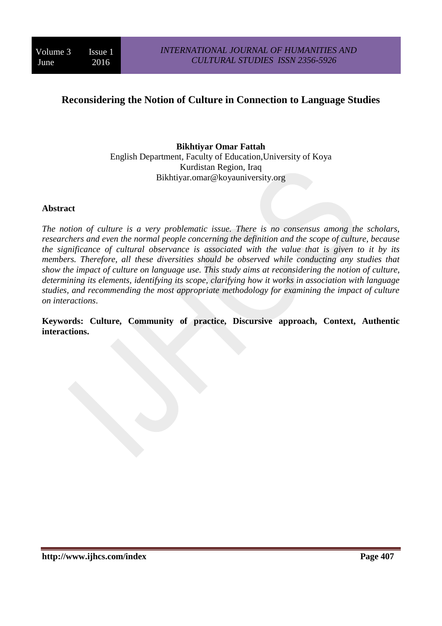# **Reconsidering the Notion of Culture in Connection to Language Studies**

#### **Bikhtiyar Omar Fattah** English Department, Faculty of Education,University of Koya Kurdistan Region, Iraq Bikhtiyar.omar@koyauniversity.org

#### **Abstract**

*The notion of culture is a very problematic issue. There is no consensus among the scholars, researchers and even the normal people concerning the definition and the scope of culture, because the significance of cultural observance is associated with the value that is given to it by its members. Therefore, all these diversities should be observed while conducting any studies that show the impact of culture on language use. This study aims at reconsidering the notion of culture, determining its elements, identifying its scope, clarifying how it works in association with language studies, and recommending the most appropriate methodology for examining the impact of culture on interactions*.

**Keywords: Culture, Community of practice, Discursive approach, Context, Authentic interactions.**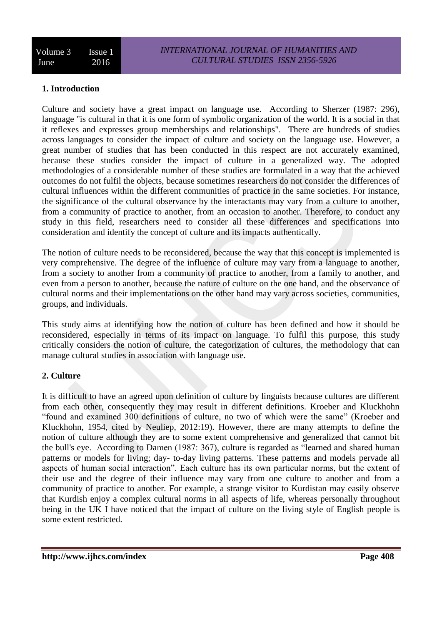## **1. Introduction**

Culture and society have a great impact on language use. According to Sherzer (1987: 296), language "is cultural in that it is one form of symbolic organization of the world. It is a social in that it reflexes and expresses group memberships and relationships". There are hundreds of studies across languages to consider the impact of culture and society on the language use. However, a great number of studies that has been conducted in this respect are not accurately examined, because these studies consider the impact of culture in a generalized way. The adopted methodologies of a considerable number of these studies are formulated in a way that the achieved outcomes do not fulfil the objects, because sometimes researchers do not consider the differences of cultural influences within the different communities of practice in the same societies. For instance, the significance of the cultural observance by the interactants may vary from a culture to another, from a community of practice to another, from an occasion to another. Therefore, to conduct any study in this field, researchers need to consider all these differences and specifications into consideration and identify the concept of culture and its impacts authentically.

The notion of culture needs to be reconsidered, because the way that this concept is implemented is very comprehensive. The degree of the influence of culture may vary from a language to another, from a society to another from a community of practice to another, from a family to another, and even from a person to another, because the nature of culture on the one hand, and the observance of cultural norms and their implementations on the other hand may vary across societies, communities, groups, and individuals.

This study aims at identifying how the notion of culture has been defined and how it should be reconsidered, especially in terms of its impact on language. To fulfil this purpose, this study critically considers the notion of culture, the categorization of cultures, the methodology that can manage cultural studies in association with language use.

#### **2. Culture**

It is difficult to have an agreed upon definition of culture by linguists because cultures are different from each other, consequently they may result in different definitions. Kroeber and Kluckhohn "found and examined 300 definitions of culture, no two of which were the same" (Kroeber and Kluckhohn, 1954, cited by Neuliep, 2012:19). However, there are many attempts to define the notion of culture although they are to some extent comprehensive and generalized that cannot bit the bull's eye. According to Damen (1987: 367), culture is regarded as "learned and shared human patterns or models for living; day- to-day living patterns. These patterns and models pervade all aspects of human social interaction". Each culture has its own particular norms, but the extent of their use and the degree of their influence may vary from one culture to another and from a community of practice to another. For example, a strange visitor to Kurdistan may easily observe that Kurdish enjoy a complex cultural norms in all aspects of life, whereas personally throughout being in the UK I have noticed that the impact of culture on the living style of English people is some extent restricted.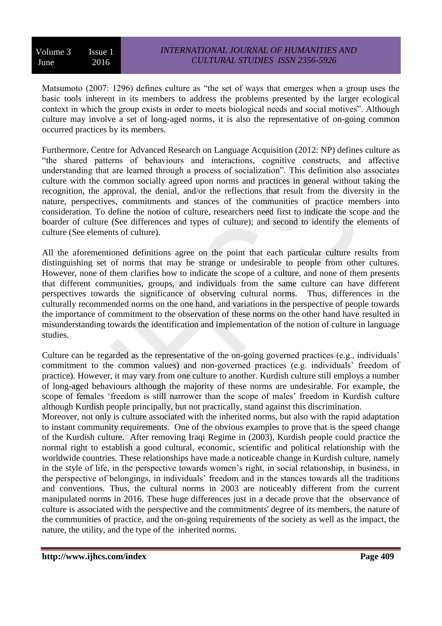Volume 3 Issue 1 June 2016

Matsumoto (2007: 1296) defines culture as "the set of ways that emerges when a group uses the basic tools inherent in its members to address the problems presented by the larger ecological context in which the group exists in order to meets biological needs and social motives". Although culture may involve a set of long-aged norms, it is also the representative of on-going common occurred practices by its members.

Furthermore, Centre for Advanced Research on Language Acquisition (2012: NP) defines culture as "the shared patterns of behaviours and interactions, cognitive constructs, and affective understanding that are learned through a process of socialization". This definition also associates culture with the common socially agreed upon norms and practices in general without taking the recognition, the approval, the denial, and/or the reflections that result from the diversity in the nature, perspectives, commitments and stances of the communities of practice members into consideration. To define the notion of culture, researchers need first to indicate the scope and the boarder of culture (See differences and types of culture); and second to identify the elements of culture (See elements of culture).

All the aforementioned definitions agree on the point that each particular culture results from distinguishing set of norms that may be strange or undesirable to people from other cultures. However, none of them clarifies how to indicate the scope of a culture, and none of them presents that different communities, groups, and individuals from the same culture can have different perspectives towards the significance of observing cultural norms. Thus, differences in the culturally recommended norms on the one hand, and variations in the perspective of people towards the importance of commitment to the observation of these norms on the other hand have resulted in misunderstanding towards the identification and implementation of the notion of culture in language studies.

Culture can be regarded as the representative of the on-going governed practices (e.g., individuals' commitment to the common values) and non-governed practices (e.g. individuals' freedom of practice). However, it may vary from one culture to another. Kurdish culture still employs a number of long-aged behaviours although the majority of these norms are undesirable. For example, the scope of females 'freedom is still narrower than the scope of males' freedom in Kurdish culture although Kurdish people principally, but not practically, stand against this discrimination.

Moreover, not only is culture associated with the inherited norms, but also with the rapid adaptation to instant community requirements. One of the obvious examples to prove that is the speed change of the Kurdish culture. After removing Iraqi Regime in (2003), Kurdish people could practice the normal right to establish a good cultural, economic, scientific and political relationship with the worldwide countries. These relationships have made a noticeable change in Kurdish culture, namely in the style of life, in the perspective towards women's right, in social relationship, in business, in the perspective of belongings, in individuals' freedom and in the stances towards all the traditions and conventions. Thus, the cultural norms in 2003 are noticeably different from the current manipulated norms in 2016. These huge differences just in a decade prove that the observance of culture is associated with the perspective and the commitments' degree of its members, the nature of the communities of practice, and the on-going requirements of the society as well as the impact, the nature, the utility, and the type of the inherited norms.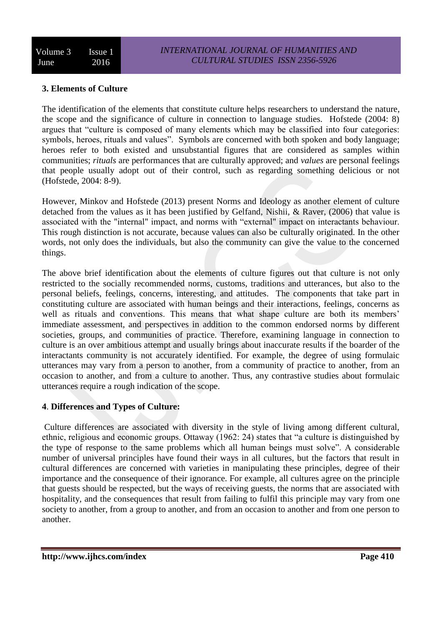## **3. Elements of Culture**

The identification of the elements that constitute culture helps researchers to understand the nature, the scope and the significance of culture in connection to language studies. Hofstede (2004: 8) argues that "culture is composed of many elements which may be classified into four categories: symbols, heroes, rituals and values". Symbols are concerned with both spoken and body language; heroes refer to both existed and unsubstantial figures that are considered as samples within communities; *rituals* are performances that are culturally approved; and *values* are personal feelings that people usually adopt out of their control, such as regarding something delicious or not (Hofstede, 2004: 8-9).

However, Minkov and Hofstede (2013) present Norms and Ideology as another element of culture detached from the values as it has been justified by Gelfand, Nishii, & Raver, (2006) that value is associated with the "internal" impact, and norms with "external" impact on interactants behaviour. This rough distinction is not accurate, because values can also be culturally originated. In the other words, not only does the individuals, but also the community can give the value to the concerned things.

The above brief identification about the elements of culture figures out that culture is not only restricted to the socially recommended norms, customs, traditions and utterances, but also to the personal beliefs, feelings, concerns, interesting, and attitudes. The components that take part in constituting culture are associated with human beings and their interactions, feelings, concerns as well as rituals and conventions. This means that what shape culture are both its members' immediate assessment, and perspectives in addition to the common endorsed norms by different societies, groups, and communities of practice. Therefore, examining language in connection to culture is an over ambitious attempt and usually brings about inaccurate results if the boarder of the interactants community is not accurately identified. For example, the degree of using formulaic utterances may vary from a person to another, from a community of practice to another, from an occasion to another, and from a culture to another. Thus, any contrastive studies about formulaic utterances require a rough indication of the scope.

## **4**. **Differences and Types of Culture:**

Culture differences are associated with diversity in the style of living among different cultural, ethnic, religious and economic groups. Ottaway (1962: 24) states that "a culture is distinguished by the type of response to the same problems which all human beings must solve". A considerable number of universal principles have found their ways in all cultures, but the factors that result in cultural differences are concerned with varieties in manipulating these principles, degree of their importance and the consequence of their ignorance. For example, all cultures agree on the principle that guests should be respected, but the ways of receiving guests, the norms that are associated with hospitality, and the consequences that result from failing to fulfil this principle may vary from one society to another, from a group to another, and from an occasion to another and from one person to another.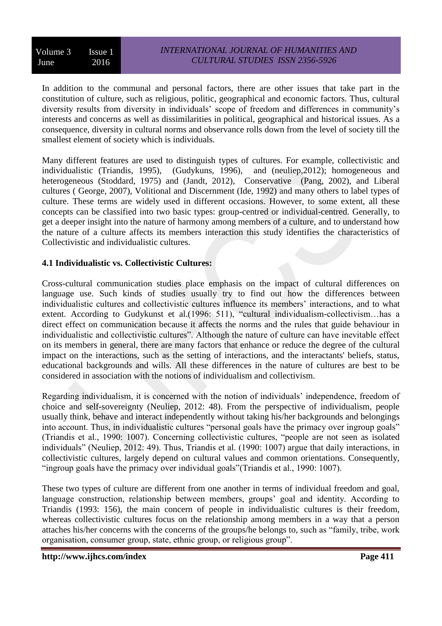Volume 3 Issue 1 June 2016

In addition to the communal and personal factors, there are other issues that take part in the constitution of culture, such as religious, politic, geographical and economic factors. Thus, cultural diversity results from diversity in individuals' scope of freedom and differences in community's interests and concerns as well as dissimilarities in political, geographical and historical issues. As a consequence, diversity in cultural norms and observance rolls down from the level of society till the smallest element of society which is individuals.

Many different features are used to distinguish types of cultures. For example, collectivistic and individualistic (Triandis, 1995), (Gudykuns, 1996), and (neuliep,2012); homogeneous and heterogeneous [\(Stoddard,](http://search.proquest.com.lcproxy.shu.ac.uk/llba/indexinglinkhandler/sng/au/Stoddard,+Ellwyn+R/$N?accountid=13827) 1975) and (Jandt, 2012), Conservative (Pang, 2002), and Liberal cultures ( George, 2007), Volitional and Discernment (Ide, 1992) and many others to label types of culture. These terms are widely used in different occasions. However, to some extent, all these concepts can be classified into two basic types: group-centred or individual-centred. Generally, to get a deeper insight into the nature of harmony among members of a culture, and to understand how the nature of a culture affects its members interaction this study identifies the characteristics of Collectivistic and individualistic cultures.

#### **4.1 Individualistic vs. Collectivistic Cultures:**

Cross-cultural communication studies place emphasis on the impact of cultural differences on language use. Such kinds of studies usually try to find out how the differences between individualistic cultures and collectivistic cultures influence its members' interactions, and to what extent. According to Gudykunst et al. (1996: 511), "cultural individualism-collectivism...has a direct effect on communication because it affects the norms and the rules that guide behaviour in individualistic and collectivistic cultures". Although the nature of culture can have inevitable effect on its members in general, there are many factors that enhance or reduce the degree of the cultural impact on the interactions, such as the setting of interactions, and the interactants' beliefs, status, educational backgrounds and wills. All these differences in the nature of cultures are best to be considered in association with the notions of individualism and collectivism.

Regarding individualism, it is concerned with the notion of individuals' independence, freedom of choice and self-sovereignty (Neuliep, 2012: 48). From the perspective of individualism, people usually think, behave and interact independently without taking his/her backgrounds and belongings into account. Thus, in individualistic cultures "personal goals have the primacy over ingroup goals" (Triandis et al., 1990: 1007). Concerning collectivistic cultures, "people are not seen as isolated individuals" (Neuliep, 2012: 49). Thus, Triandis et al. (1990: 1007) argue that daily interactions, in collectivistic cultures, largely depend on cultural values and common orientations. Consequently, "ingroup goals have the primacy over individual goals"(Triandis et al., 1990: 1007).

These two types of culture are different from one another in terms of individual freedom and goal, language construction, relationship between members, groups' goal and identity. According to Triandis (1993: 156), the main concern of people in individualistic cultures is their freedom, whereas collectivistic cultures focus on the relationship among members in a way that a person attaches his/her concerns with the concerns of the groups/he belongs to, such as "family, tribe, work organisation, consumer group, state, ethnic group, or religious group".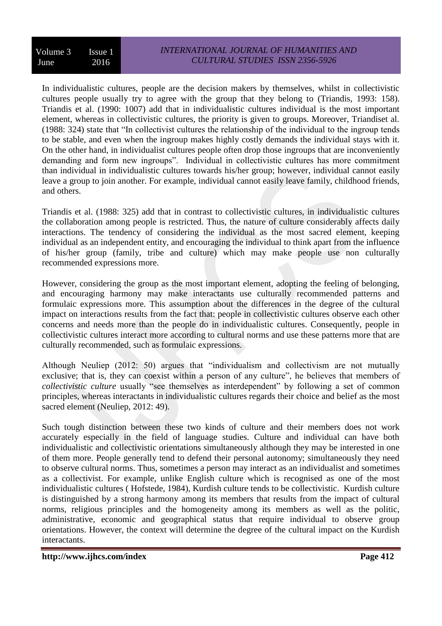In individualistic cultures, people are the decision makers by themselves, whilst in collectivistic cultures people usually try to agree with the group that they belong to (Triandis, 1993: 158). Triandis et al. (1990: 1007) add that in individualistic cultures individual is the most important element, whereas in collectivistic cultures, the priority is given to groups. Moreover, Triandiset al. (1988: 324) state that "In collectivist cultures the relationship of the individual to the ingroup tends to be stable, and even when the ingroup makes highly costly demands the individual stays with it. On the other hand, in individualist cultures people often drop those ingroups that are inconveniently demanding and form new ingroups". Individual in collectivistic cultures has more commitment than individual in individualistic cultures towards his/her group; however, individual cannot easily leave a group to join another. For example, individual cannot easily leave family, childhood friends, and others.

Triandis et al. (1988: 325) add that in contrast to collectivistic cultures, in individualistic cultures the collaboration among people is restricted. Thus, the nature of culture considerably affects daily interactions. The tendency of considering the individual as the most sacred element, keeping individual as an independent entity, and encouraging the individual to think apart from the influence of his/her group (family, tribe and culture) which may make people use non culturally recommended expressions more.

However, considering the group as the most important element, adopting the feeling of belonging, and encouraging harmony may make interactants use culturally recommended patterns and formulaic expressions more. This assumption about the differences in the degree of the cultural impact on interactions results from the fact that: people in collectivistic cultures observe each other concerns and needs more than the people do in individualistic cultures. Consequently, people in collectivistic cultures interact more according to cultural norms and use these patterns more that are culturally recommended, such as formulaic expressions.

Although Neuliep (2012: 50) argues that "individualism and collectivism are not mutually exclusive; that is, they can coexist within a person of any culture", he believes that members of *collectivistic culture* usually "see themselves as interdependent" by following a set of common principles, whereas interactants in individualistic cultures regards their choice and belief as the most sacred element (Neuliep, 2012: 49).

Such tough distinction between these two kinds of culture and their members does not work accurately especially in the field of language studies. Culture and individual can have both individualistic and collectivistic orientations simultaneously although they may be interested in one of them more. People generally tend to defend their personal autonomy; simultaneously they need to observe cultural norms. Thus, sometimes a person may interact as an individualist and sometimes as a collectivist. For example, unlike English culture which is recognised as one of the most individualistic cultures ( Hofstede, 1984), Kurdish culture tends to be collectivistic. Kurdish culture is distinguished by a strong harmony among its members that results from the impact of cultural norms, religious principles and the homogeneity among its members as well as the politic, administrative, economic and geographical status that require individual to observe group orientations. However, the context will determine the degree of the cultural impact on the Kurdish interactants.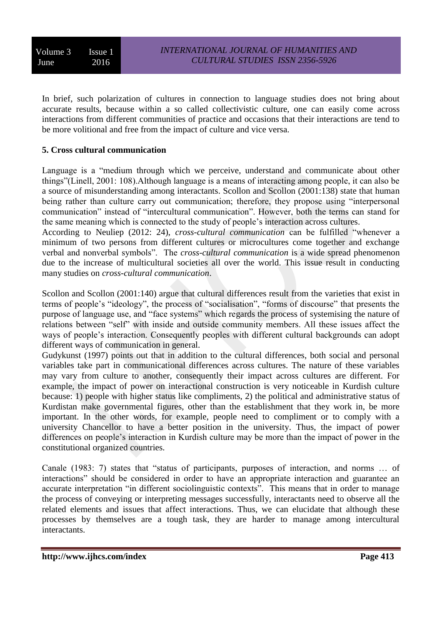In brief, such polarization of cultures in connection to language studies does not bring about accurate results, because within a so called collectivistic culture, one can easily come across interactions from different communities of practice and occasions that their interactions are tend to be more volitional and free from the impact of culture and vice versa.

## **5. Cross cultural communication**

Language is a "medium through which we perceive, understand and communicate about other things"(Linell, 2001: 108).Although language is a means of interacting among people, it can also be a source of misunderstanding among interactants. Scollon and Scollon (2001:138) state that human being rather than culture carry out communication; therefore, they propose using "interpersonal communication" instead of "intercultural communication". However, both the terms can stand for the same meaning which is connected to the study of people's interaction across cultures.

According to Neuliep (2012: 24), *cross-cultural communication* can be fulfilled "whenever a minimum of two persons from different cultures or microcultures come together and exchange verbal and nonverbal symbols". The *cross-cultural communication* is a wide spread phenomenon due to the increase of multicultural societies all over the world. This issue result in conducting many studies on *cross-cultural communication*.

Scollon and Scollon (2001:140) argue that cultural differences result from the varieties that exist in terms of people's "ideology", the process of "socialisation", "forms of discourse" that presents the purpose of language use, and "face systems" which regards the process of systemising the nature of relations between "self" with inside and outside community members. All these issues affect the ways of people's interaction. Consequently peoples with different cultural backgrounds can adopt different ways of communication in general.

Gudykunst (1997) points out that in addition to the cultural differences, both social and personal variables take part in communicational differences across cultures. The nature of these variables may vary from culture to another, consequently their impact across cultures are different. For example, the impact of power on interactional construction is very noticeable in Kurdish culture because: 1) people with higher status like compliments, 2) the political and administrative status of Kurdistan make governmental figures, other than the establishment that they work in, be more important. In the other words, for example, people need to compliment or to comply with a university Chancellor to have a better position in the university. Thus, the impact of power differences on people's interaction in Kurdish culture may be more than the impact of power in the constitutional organized countries.

Canale (1983: 7) states that "status of participants, purposes of interaction, and norms … of interactions" should be considered in order to have an appropriate interaction and guarantee an accurate interpretation "in different sociolinguistic contexts". This means that in order to manage the process of conveying or interpreting messages successfully, interactants need to observe all the related elements and issues that affect interactions. Thus, we can elucidate that although these processes by themselves are a tough task, they are harder to manage among intercultural interactants.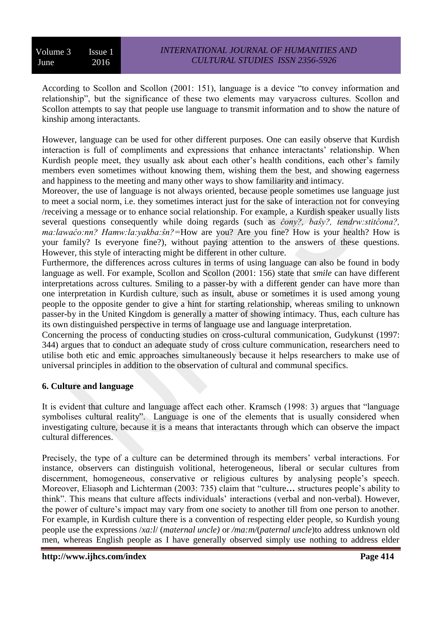According to Scollon and Scollon (2001: 151), language is a device "to convey information and relationship", but the significance of these two elements may varyacross cultures. Scollon and Scollon attempts to say that people use language to transmit information and to show the nature of kinship among interactants.

However, language can be used for other different purposes. One can easily observe that Kurdish interaction is full of compliments and expressions that enhance interactants' relationship. When Kurdish people meet, they usually ask about each other's health conditions, each other's family members even sometimes without knowing them, wishing them the best, and showing eagerness and happiness to the meeting and many other ways to show familiarity and intimacy.

Moreover, the use of language is not always oriented, because people sometimes use language just to meet a social norm, i.e. they sometimes interact just for the sake of interaction not for conveying /receiving a message or to enhance social relationship. For example, a Kurdish speaker usually lists several questions consequently while doing regards (such as *ĉony?, baŝy?, tendrw:stitĉona?, ma:lawaĉo:nn? Hamw:la:yakba:ŝn?=*How are you? Are you fine? How is your health? How is your family? Is everyone fine?), without paying attention to the answers of these questions. However, this style of interacting might be different in other culture.

Furthermore, the differences across cultures in terms of using language can also be found in body language as well. For example, Scollon and Scollon (2001: 156) state that *smile* can have different interpretations across cultures. Smiling to a passer-by with a different gender can have more than one interpretation in Kurdish culture, such as insult, abuse or sometimes it is used among young people to the opposite gender to give a hint for starting relationship, whereas smiling to unknown passer-by in the United Kingdom is generally a matter of showing intimacy. Thus, each culture has its own distinguished perspective in terms of language use and language interpretation.

Concerning the process of conducting studies on cross-cultural communication, Gudykunst (1997: 344) argues that to conduct an adequate study of cross culture communication, researchers need to utilise both etic and emic approaches simultaneously because it helps researchers to make use of universal principles in addition to the observation of cultural and communal specifics.

#### **6. Culture and language**

It is evident that culture and language affect each other. Kramsch (1998: 3) argues that "language symbolises cultural reality". Language is one of the elements that is usually considered when investigating culture, because it is a means that interactants through which can observe the impact cultural differences.

Precisely, the type of a culture can be determined through its members' verbal interactions. For instance, observers can distinguish volitional, heterogeneous, liberal or secular cultures from discernment, homogeneous, conservative or religious cultures by analysing people's speech. Moreover, Eliasoph and Lichterman (2003: 735) claim that "culture**…** structures people's ability to think". This means that culture affects individuals' interactions (verbal and non-verbal). However, the power of culture's impact may vary from one society to another till from one person to another. For example, in Kurdish culture there is a convention of respecting elder people, so Kurdish young people use the expressions /*xa:l*/ (*maternal uncle)* or */ma:m/*(*paternal uncle*)to address unknown old men, whereas English people as I have generally observed simply use nothing to address elder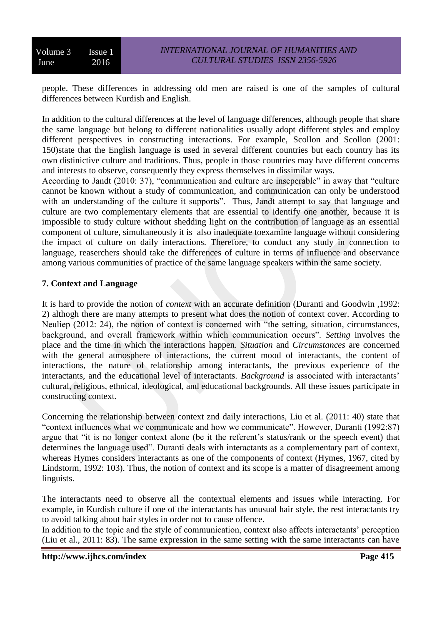Volume 3 Issue 1 June 2016

people. These differences in addressing old men are raised is one of the samples of cultural differences between Kurdish and English.

In addition to the cultural differences at the level of language differences, although people that share the same language but belong to different nationalities usually adopt different styles and employ different perspectives in constructing interactions. For example, Scollon and Scollon (2001: 150)state that the English language is used in several different countries but each country has its own distinictive culture and traditions. Thus, people in those countries may have different concerns and interests to observe, consequently they express themselves in dissimilar ways.

According to Jandt (2010: 37), "communication and culture are inseperable" in away that "culture cannot be known without a study of communication, and communication can only be understood with an understanding of the culture it supports". Thus, Jandt attempt to say that language and culture are two complementary elements that are essential to identify one another, because it is impossible to study culture without shedding light on the contribution of language as an essential component of culture, simultaneously it is also inadequate toexamine language without considering the impact of culture on daily interactions. Therefore, to conduct any study in connection to language, reaserchers should take the differences of culture in terms of influence and observance among various communities of practice of the same language speakers within the same society.

#### **7. Context and Language**

It is hard to provide the notion of *context* with an accurate definition (Duranti and Goodwin ,1992: 2) althogh there are many attempts to present what does the notion of context cover. According to Neuliep (2012: 24), the notion of context is concerned with "the setting, situation, circumstances, background, and overall framework within which communication occurs". *Setting* involves the place and the time in which the interactions happen. *Situation* and *Circumstances* are concerned with the general atmosphere of interactions, the current mood of interactants, the content of interactions, the nature of relationship among interactants, the previous experience of the interactants, and the educational level of interactants. *Background* is associated with interactants' cultural, religious, ethnical, ideological, and educational backgrounds. All these issues participate in constructing context.

Concerning the relationship between context znd daily interactions, Liu et al. (2011: 40) state that "context influences what we communicate and how we communicate". However, Duranti (1992:87) argue that "it is no longer context alone (be it the referent's status/rank or the speech event) that determines the language used". Duranti deals with interactants as a complementary part of context, whereas Hymes considers interactants as one of the components of context (Hymes, 1967, cited by Lindstorm, 1992: 103). Thus, the notion of context and its scope is a matter of disagreement among linguists.

The interactants need to observe all the contextual elements and issues while interacting. For example, in Kurdish culture if one of the interactants has unusual hair style, the rest interactants try to avoid talking about hair styles in order not to cause offence.

In addition to the topic and the style of communication, context also affects interactants' perception (Liu et al., 2011: 83). The same expression in the same setting with the same interactants can have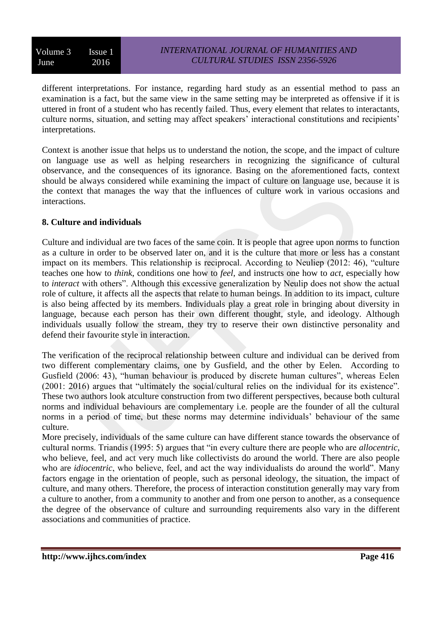different interpretations. For instance, regarding hard study as an essential method to pass an examination is a fact, but the same view in the same setting may be interpreted as offensive if it is uttered in front of a student who has recently failed. Thus, every element that relates to interactants, culture norms, situation, and setting may affect speakers' interactional constitutions and recipients' interpretations.

Context is another issue that helps us to understand the notion, the scope, and the impact of culture on language use as well as helping researchers in recognizing the significance of cultural observance, and the consequences of its ignorance. Basing on the aforementioned facts, context should be always considered while examining the impact of culture on language use, because it is the context that manages the way that the influences of culture work in various occasions and interactions.

#### **8. Culture and individuals**

Culture and individual are two faces of the same coin. It is people that agree upon norms to function as a culture in order to be observed later on, and it is the culture that more or less has a constant impact on its members. This relationship is reciprocal. According to Neuliep (2012: 46), "culture teaches one how to *think*, conditions one how to *feel*, and instructs one how to *act*, especially how to *interact* with others". Although this excessive generalization by Neulip does not show the actual role of culture, it affects all the aspects that relate to human beings. In addition to its impact, culture is also being affected by its members. Individuals play a great role in bringing about diversity in language, because each person has their own different thought, style, and ideology. Although individuals usually follow the stream, they try to reserve their own distinctive personality and defend their favourite style in interaction.

The verification of the reciprocal relationship between culture and individual can be derived from two different complementary claims, one by Gusfield, and the other by Eelen. According to [Gusfield](http://shu.summon.serialssolutions.com/search?s.dym=false&s.q=Author%3A%22joseph+r.+gusfield%22) (2006: 43), "human behaviour is produced by discrete human cultures", whereas Eelen (2001: 2016) argues that "ultimately the social/cultural relies on the individual for its existence". These two authors look atculture construction from two different perspectives, because both cultural norms and individual behaviours are complementary i.e. people are the founder of all the cultural norms in a period of time, but these norms may determine individuals' behaviour of the same culture.

More precisely, individuals of the same culture can have different stance towards the observance of cultural norms. Triandis (1995: 5) argues that "in every culture there are people who are *allocentric*, who believe, feel, and act very much like collectivists do around the world. There are also people who are *idiocentric*, who believe, feel, and act the way individualists do around the world". Many factors engage in the orientation of people, such as personal ideology, the situation, the impact of culture, and many others. Therefore, the process of interaction constitution generally may vary from a culture to another, from a community to another and from one person to another, as a consequence the degree of the observance of culture and surrounding requirements also vary in the different associations and communities of practice.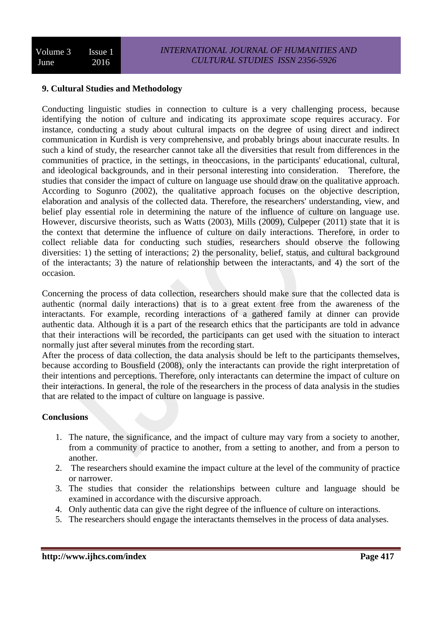#### **9. Cultural Studies and Methodology**

Conducting linguistic studies in connection to culture is a very challenging process, because identifying the notion of culture and indicating its approximate scope requires accuracy. For instance, conducting a study about cultural impacts on the degree of using direct and indirect communication in Kurdish is very comprehensive, and probably brings about inaccurate results. In such a kind of study, the researcher cannot take all the diversities that result from differences in the communities of practice, in the settings, in theoccasions, in the participants' educational, cultural, and ideological backgrounds, and in their personal interesting into consideration. Therefore, the studies that consider the impact of culture on language use should draw on the qualitative approach. According to Sogunro (2002), the qualitative approach focuses on the objective description, elaboration and analysis of the collected data. Therefore, the researchers' understanding, view, and belief play essential role in determining the nature of the influence of culture on language use. However, discursive theorists, such as Watts (2003), Mills (2009), Culpeper (2011) state that it is the context that determine the influence of culture on daily interactions. Therefore, in order to collect reliable data for conducting such studies, researchers should observe the following diversities: 1) the setting of interactions; 2) the personality, belief, status, and cultural background of the interactants; 3) the nature of relationship between the interactants, and 4) the sort of the occasion.

Concerning the process of data collection, researchers should make sure that the collected data is authentic (normal daily interactions) that is to a great extent free from the awareness of the interactants. For example, recording interactions of a gathered family at dinner can provide authentic data. Although it is a part of the research ethics that the participants are told in advance that their interactions will be recorded, the participants can get used with the situation to interact normally just after several minutes from the recording start.

After the process of data collection, the data analysis should be left to the participants themselves, because according to Bousfield (2008), only the interactants can provide the right interpretation of their intentions and perceptions. Therefore, only interactants can determine the impact of culture on their interactions. In general, the role of the researchers in the process of data analysis in the studies that are related to the impact of culture on language is passive.

#### **Conclusions**

- 1. The nature, the significance, and the impact of culture may vary from a society to another, from a community of practice to another, from a setting to another, and from a person to another.
- 2. The researchers should examine the impact culture at the level of the community of practice or narrower.
- 3. The studies that consider the relationships between culture and language should be examined in accordance with the discursive approach.
- 4. Only authentic data can give the right degree of the influence of culture on interactions.
- 5. The researchers should engage the interactants themselves in the process of data analyses.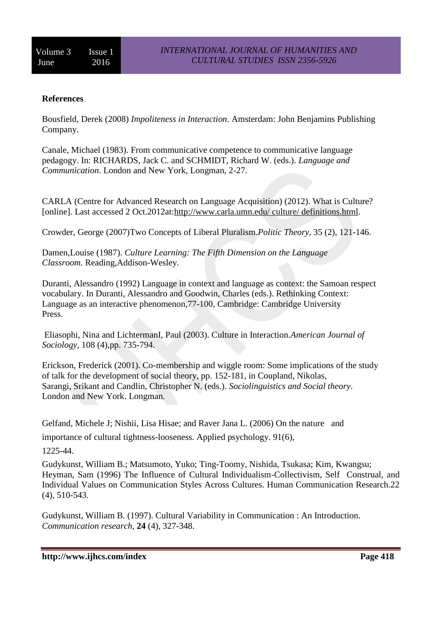#### **References**

Bousfield, Derek (2008) *Impoliteness in Interaction*. Amsterdam: John Benjamins Publishing Company.

Canale, Michael (1983). From communicative competence to communicative language pedagogy. In: RICHARDS, Jack C. and SCHMIDT, Richard W. (eds.). *Language and Communication*. London and New York, Longman, 2-27.

CARLA (Centre for Advanced Research on Language Acquisition) (2012). What is Culture? [online]. Last accessed 2 Oct.2012at[:http://www.carla.umn.edu/ culture/ definitions.html.](http://www.carla.umn.edu/%20culture/%20definitions.html)

[Crowder, George](http://shu.summon.serialssolutions.com/search?s.dym=false&s.q=Author%3A%22Crowder%2C+George%22) (2007)Two Concepts of Liberal [Pluralism.](http://shu.summon.serialssolutions.com/link/0/eLvHCXMwTZ27DYIxDIRTsALULBApjuM8asQvBoABnOS8_whYCAnaa9zdfW7uQri62LA8e7QPxXYkt1mqrGTMVT_lpb_Ogj83P87hddyft0f87gBEdfqgyBvVqCcDdDpej9xszIzS0JY0T8Q12VgInLGKMzKnrYI-i5Bfpks4-S-NNyyyJeA)*Politic Theory*, 35 (2), 121-146.

Damen,Louise (1987). *Culture Learning: The Fifth Dimension on the Language Classroom.* Reading,Addison-Wesley.

Duranti, Alessandro (1992) Language in context and language as context: the Samoan respect vocabulary. In Duranti, Alessandro and Goodwin, Charles (eds.). Rethinking Context: Language as an interactive phenomenon,77-100, Cambridge: Cambridge University Press.

Eliasophi, Nina and LichtermanI, Paul (2003). Culture in Interaction.*American Journal of Sociology*, 108 (4),pp. 735-794.

Erickson, Frederick (2001). Co-membership and wiggle room: Some implications of the study of talk for the development of social theory, pp. 152-181, in Coupland, Nikolas, Sarangi, Srikant and Candlin, Christopher N. (eds.). *Sociolinguistics and Social theory*. London and New York. Longman.

Gelfand, Michele J; Nishii, Lisa Hisae; and Raver Jana L. (2006) On the nature and

importance of cultural tightness-looseness. Applied psychology. 91(6),

1225-44.

Gudykunst, William B.; Matsumoto, Yuko; Ting-Toomy, Nishida, Tsukasa; Kim, Kwangsu; Heyman, Sam (1996) The Influence of Cultural Individualism-Collectivism, Self Construal, and Individual Values on Communication Styles Across Cultures. Human Communication Research.22 (4), 510-543.

Gudykunst, William B. (1997). Cultural Variability in Communication : An Introduction. *Communication research*, **24** (4), 327-348.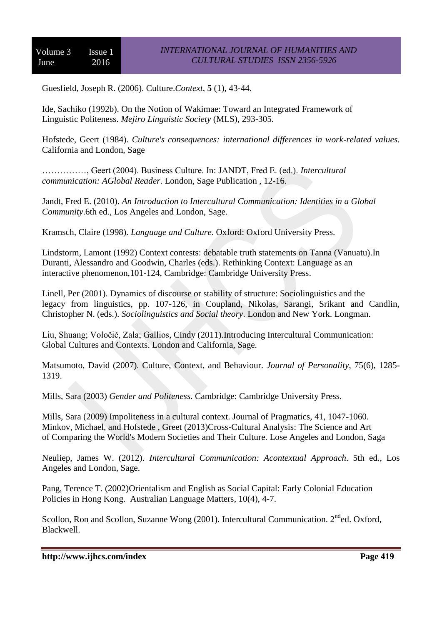Guesfield, Joseph R. (2006). Culture.*Context*, **5** (1), 43-44.

Ide, Sachiko (1992b). On the Notion of Wakimae: Toward an Integrated Framework of Linguistic Politeness. *Mejiro Linguistic Society* (MLS), 293-305.

Hofstede, Geert (1984). *Culture's consequences: international differences in work-related values*. California and London, Sage

……………, Geert (2004). Business Culture. In: JANDT, Fred E. (ed.). *Intercultural communication: AGlobal Reader*. London, Sage Publication , 12-16.

Jandt, Fred E. (2010). *An Introduction to Intercultural Communication: Identities in a Global Community*.6th ed., Los Angeles and London, Sage.

Kramsch, Claire (1998). *Language and Culture*. Oxford: Oxford University Press.

Lindstorm, Lamont (1992) Context contests: debatable truth statements on Tanna (Vanuatu).In Duranti, Alessandro and Goodwin, Charles (eds.). Rethinking Context: Language as an interactive phenomenon,101-124, Cambridge: Cambridge University Press.

Linell, Per (2001). Dynamics of discourse or stability of structure: Sociolinguistics and the legacy from linguistics, pp. 107-126, in Coupland, Nikolas, Sarangi, Srikant and Candlin, Christopher N. (eds.). *Sociolinguistics and Social theory*. London and New York. Longman.

Liu, Shuang; Voločič, Zala; Gallios, Cindy (2011).Introducing Intercultural Communication: Global Cultures and Contexts. London and California, Sage.

Matsumoto, David (2007). Culture, Context, and Behaviour. *Journal of Personality*, 75(6), 1285- 1319.

Mills, Sara (2003) *Gender and Politeness*. Cambridge: Cambridge University Press.

Mills, Sara (2009) Impoliteness in a cultural context. Journal of Pragmatics, 41, 1047-1060. Minkov, Michael, and Hofstede , Greet (2013)Cross-Cultural Analysis: The Science and Art of Comparing the World's Modern Societies and Their Culture. Lose Angeles and London, Saga

Neuliep, James W. (2012). *Intercultural Communication: Acontextual Approach*. 5th ed., Los Angeles and London, Sage.

Pang, Terence T. (2002)Orientalism and English as Social Capital: Early Colonial Education Policies in Hong Kong. [Australian Language Matters,](http://search.proquest.com.lcproxy.shu.ac.uk/llba/pubidlinkhandler/sng/pubtitle/Australian+Language+Matters/$N?accountid=13827) 10(4), 4-7.

Scollon, Ron and Scollon, Suzanne Wong (2001). Intercultural Communication. 2<sup>nd</sup>ed. Oxford. Blackwell.